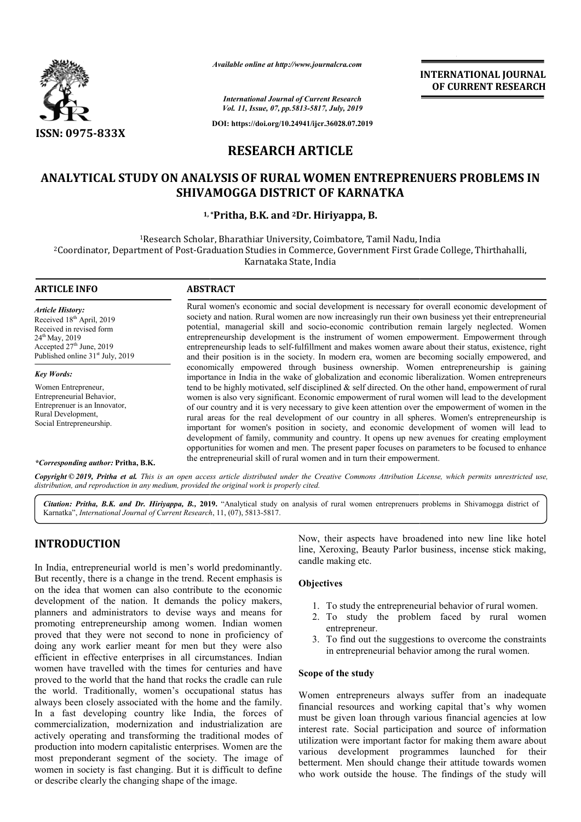

*Available online at http://www.journalcra.com*

*International Journal of Current Research Vol. 11, Issue, 07, pp.5813-5817, July, 2019*

**DOI: https://doi.org/10.24941/ijcr.36028.07.2019**

# **RESEARCH ARTICLE**

# **ANALYTICAL STUDY ON ANALYSIS OF RURAL WOMEN ENTREPRENUERS PROBLEMS IN WOMEN ENTREPRENUERS SHIVAMOGGA DISTRICT OF KARNATKA**

# 1,\*Pritha, B.K. and <sup>2</sup>Dr. Hiriyappa, B.

<sup>1</sup>Research Scholar, Bharathiar University, Coimbatore, Tamil Nadu, India <sup>2</sup>Coordinator, Department of Post-Graduation Studies in Commerce, Government First Grade College, Thirthahalli,<br>Karnataka State, India

# **ARTICLE INFO ABSTRACT** Rural women's economic and social development is necessary for overall economic development of Rural women's economic and social development is necessary for overall economic development of society and nation. Rural women are now increasingly run their own business yet their entrepreneurial potential, managerial skill and socio-economic contribution remain largely neglected. Women entrepreneurship development is the instrument of women empowerment. Empowerment through entrepreneurship leads to self-fulfillment and makes women aware about their status, existence, right and their position is in the society. In modern era, women are becoming socially empowered, and economically empowered through business ownership. Women entrepreneurship is gaining importance in India in the wake of globalization and economic liberalization. Women entrepreneurs tend to be highly motivated, self disciplined & self directed. On the other hand, empowerment of rural women is also very significant. Economic empowerment of rural women will lead to the development of our country and it is very necessary to give keen attention over the empowerment of women in the rural areas for the real development of our country in all spheres. Women's entrepreneurship is important for women's position in society, and economic development of women will lead to development of family, community and country. It opens up new avenues for creating employment opportunities for women and men. The present paper focuses on parameters to be focused to enhance the entrep entrepreneurial skill of rural women and in turn their empowerment. *Article History:* Received 18<sup>th</sup> April, 2019 Received in revised form 24<sup>th</sup> May, 2019 Accepted 27<sup>th</sup> June, 2019 Published online 31<sup>st</sup> July, 2019 *Key Words:* Women Entrepreneur, Entrepreneurial Behavior, Entreprenuer is an Innovator, Rural Development, Social Entrepreneurship. potential, managerial skill and socio-economic contribution remain largely neglected. Women<br>entrepreneurship development is the instrument of women empowerment. Empowerment through<br>entrepreneurship leads to self-fulfillmen of our country and it is very necessary to give keen attention over the empowerment of wor<br>rural areas for the real development of our country in all spheres. Women's entrepree<br>important for women's position in society, an **FIND CONSUM CONSUM CONSUM CONSUM CONSUM CONSUM CONSUM CONSUM CONSUM CONSUM CONSUM CONSUMPTER CONSUMPTER CONSUMPTER CONSUMPTER CONSUMPTER CONSUMPTER CONSUMPTER CONSUMPTER CONSUMPTER CONSUMPTER CONSUMPTER CONSUMPTER CONSUM**

*\*Corresponding author:* **Pritha, B.K.**

Copyright © 2019, Pritha et al. This is an open access article distributed under the Creative Commons Attribution License, which permits unrestricted use, *distribution, and reproduction in any medium, provided the original work is properly cited.*

Citation: Pritha, B.K. and Dr. Hiriyappa, B., 2019. "Analytical study on analysis of rural women entreprenuers problems in Shivamogga district of Karnatka", *International Journal of Current Research* , 11, (07), 5813-5817.

# **INTRODUCTION**

In India, entrepreneurial world is men's world predominantly. But recently, there is a change in the trend. Recent emphasis is on the idea that women can also contribute to the economic development of the nation. It demands the policy makers, planners and administrators to devise ways and means for promoting entrepreneurship among women. Indian women proved that they were not second to none in proficien proficiency of doing any work earlier meant for men but they were also efficient in effective enterprises in all circumstances. Indian women have travelled with the times for centuries and have proved to the world that the hand that rocks the cradle can rule the world. Traditionally, women's occupational status has always been closely associated with the home and the family. In a fast developing country like India, the forces of commercialization, modernization and industrialization are actively operating and transforming the traditional modes of production into modern capitalistic enterprises. Women are the most preponderant segment of the society. The image of women in society is fast changing. But it is difficult to define or describe clearly the changing shape of the image. rld. Traditionally, women's<br>been closely associated with<br>fast developing country lik<br>rcialization, modernization a<br>perating and transforming

Now, their aspects have broadened into new line like hotel line, Xeroxing, Beauty Parlor business, incense stick making, candle making etc. their aspects have broadened into new line like hotel<br>
leroxing, Beauty Parlor business, incense stick making,<br>
making etc.<br>
To study the entrepreneurial behavior of rural women.<br>
To study the problem faced by rural women

**INTERNATIONAL JOURNAL OF CURRENT RESEARCH**

## **Objectives**

- 1. To study the entrepreneurial behavior of rural women.
- 2. To study the problem faced by rural women entrepreneur.
- 3. To find out the suggestions to overcome the constraints in entrepreneurial behavior among the rural women.

### **Scope of the study**

Women entrepreneurs always suffer from an inadequate financial resources and working capital that's why women must be given loan through various financial agencies at low interest rate. Social participation and source of information utilization were important factor for making them aware about various development programmes launched for their betterment. Men should change their attitude towards women who work outside the house. The findings of the study will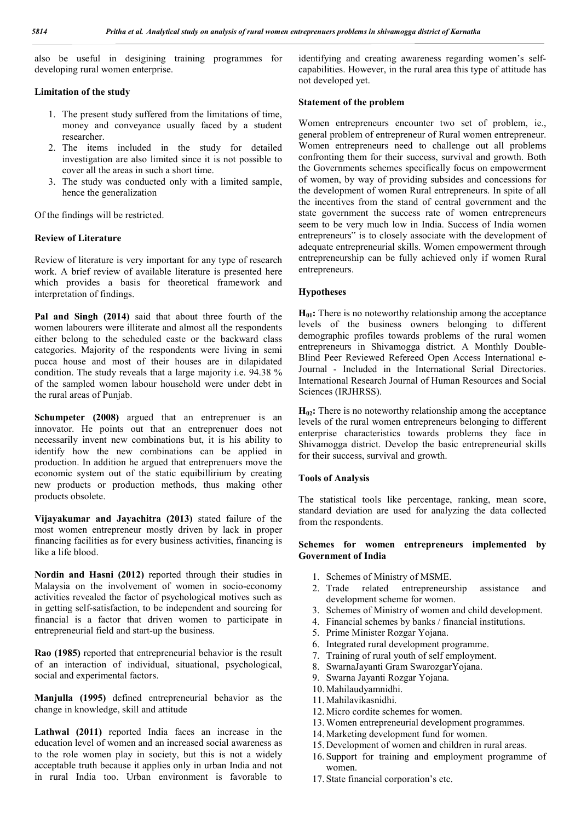also be useful in desigining training programmes for developing rural women enterprise.

#### **Limitation of the study**

- 1. The present study suffered from the limitations of time, money and conveyance usually faced by a student researcher.
- 2. The items included in the study for detailed investigation are also limited since it is not possible to cover all the areas in such a short time.
- 3. The study was conducted only with a limited sample, hence the generalization

Of the findings will be restricted.

#### **Review of Literature**

Review of literature is very important for any type of research work. A brief review of available literature is presented here which provides a basis for theoretical framework and interpretation of findings.

**Pal and Singh (2014)** said that about three fourth of the women labourers were illiterate and almost all the respondents either belong to the scheduled caste or the backward class categories. Majority of the respondents were living in semi pucca house and most of their houses are in dilapidated condition. The study reveals that a large majority i.e. 94.38 % of the sampled women labour household were under debt in the rural areas of Punjab.

**Schumpeter (2008)** argued that an entreprenuer is an innovator. He points out that an entreprenuer does not necessarily invent new combinations but, it is his ability to identify how the new combinations can be applied in production. In addition he argued that entreprenuers move the economic system out of the static equibillirium by creating new products or production methods, thus making other products obsolete.

**Vijayakumar and Jayachitra (2013)** stated failure of the most women entrepreneur mostly driven by lack in proper financing facilities as for every business activities, financing is like a life blood.

**Nordin and Hasni (2012)** reported through their studies in Malaysia on the involvement of women in socio-economy activities revealed the factor of psychological motives such as in getting self-satisfaction, to be independent and sourcing for financial is a factor that driven women to participate in entrepreneurial field and start-up the business.

**Rao (1985)** reported that entrepreneurial behavior is the result of an interaction of individual, situational, psychological, social and experimental factors.

**Manjulla (1995)** defined entrepreneurial behavior as the change in knowledge, skill and attitude

**Lathwal (2011)** reported India faces an increase in the education level of women and an increased social awareness as to the role women play in society, but this is not a widely acceptable truth because it applies only in urban India and not in rural India too. Urban environment is favorable to

identifying and creating awareness regarding women's selfcapabilities. However, in the rural area this type of attitude has not developed yet.

#### **Statement of the problem**

Women entrepreneurs encounter two set of problem, ie., general problem of entrepreneur of Rural women entrepreneur. Women entrepreneurs need to challenge out all problems confronting them for their success, survival and growth. Both the Governments schemes specifically focus on empowerment of women, by way of providing subsides and concessions for the development of women Rural entrepreneurs. In spite of all the incentives from the stand of central government and the state government the success rate of women entrepreneurs seem to be very much low in India. Success of India women entrepreneurs" is to closely associate with the development of adequate entrepreneurial skills. Women empowerment through entrepreneurship can be fully achieved only if women Rural entrepreneurs.

#### **Hypotheses**

 $H<sub>01</sub>$ : There is no noteworthy relationship among the acceptance levels of the business owners belonging to different demographic profiles towards problems of the rural women entrepreneurs in Shivamogga district. A Monthly Double-Blind Peer Reviewed Refereed Open Access International e-Journal - Included in the International Serial Directories. International Research Journal of Human Resources and Social Sciences (IRJHRSS).

**H02:** There is no noteworthy relationship among the acceptance levels of the rural women entrepreneurs belonging to different enterprise characteristics towards problems they face in Shivamogga district. Develop the basic entrepreneurial skills for their success, survival and growth.

#### **Tools of Analysis**

The statistical tools like percentage, ranking, mean score, standard deviation are used for analyzing the data collected from the respondents.

#### **Schemes for women entrepreneurs implemented by Government of India**

- 1. Schemes of Ministry of MSME.
- 2. Trade related entrepreneurship assistance and development scheme for women.
- 3. Schemes of Ministry of women and child development.
- 4. Financial schemes by banks / financial institutions.
- 5. Prime Minister Rozgar Yojana.
- 6. Integrated rural development programme.
- 7. Training of rural youth of self employment.
- 8. SwarnaJayanti Gram SwarozgarYojana.
- 9. Swarna Jayanti Rozgar Yojana.
- 10. Mahilaudyamnidhi.
- 11. Mahilavikasnidhi.
- 12. Micro cordite schemes for women.
- 13. Women entrepreneurial development programmes.
- 14. Marketing development fund for women.
- 15. Development of women and children in rural areas.
- 16. Support for training and employment programme of women.
- 17. State financial corporation's etc.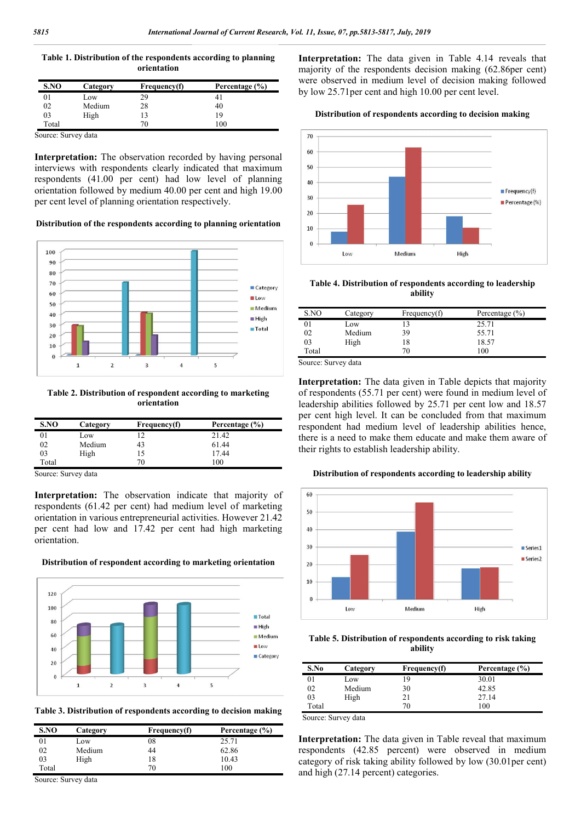**Table 1. Distribution of the respondents according to planning orientation**

| S.NO  | Category | Frequency(f) | Percentage (%) |
|-------|----------|--------------|----------------|
|       | Low      | 29           | 4              |
| 02    | Medium   | 28           | 40             |
| 03    | High     |              | 19             |
| Total |          | 70           | 100            |

Source: Survey data

**Interpretation:** The observation recorded by having personal interviews with respondents clearly indicated that maximum respondents (41.00 per cent) had low level of planning orientation followed by medium 40.00 per cent and high 19.00 per cent level of planning orientation respectively.

#### **Distribution of the respondents according to planning orientation**



**Table 2. Distribution of respondent according to marketing orientation**

| S.NO  | Category | Frequency(f) | Percentage (%) |
|-------|----------|--------------|----------------|
|       | Low      |              | 21.42          |
| 02    | Medium   | 43           | 61.44          |
| 03    | High     | 15           | 17.44          |
| Total |          | 70           | 100            |

Source: Survey data

**Interpretation:** The observation indicate that majority of respondents (61.42 per cent) had medium level of marketing orientation in various entrepreneurial activities. However 21.42 per cent had low and 17.42 per cent had high marketing orientation.



**Distribution of respondent according to marketing orientation**

**Table 3. Distribution of respondents according to decision making**

| S.NO  | Category | Frequency(f) | Percentage (%) |
|-------|----------|--------------|----------------|
| 01    | Low      | 08           | 25.71          |
| 02    | Medium   | 44           | 62.86          |
| 03    | High     | 18           | 10.43          |
| Total |          | 70           | 100            |

Source: Survey data

**Interpretation:** The data given in Table 4.14 reveals that majority of the respondents decision making (62.86per cent) were observed in medium level of decision making followed by low 25.71per cent and high 10.00 per cent level.

#### **Distribution of respondents according to decision making**



**Table 4. Distribution of respondents according to leadership ability**

| S.NO  | Category | Frequency(f) | Percentage $(\% )$ |
|-------|----------|--------------|--------------------|
| 01    | Low      |              | 25.71              |
| 02    | Medium   | 39           | 55.71              |
| 03    | High     | 18           | 18.57              |
| Total |          | 70           | 100                |

Source: Survey data

**Interpretation:** The data given in Table depicts that majority of respondents (55.71 per cent) were found in medium level of leadership abilities followed by 25.71 per cent low and 18.57 per cent high level. It can be concluded from that maximum respondent had medium level of leadership abilities hence, there is a need to make them educate and make them aware of their rights to establish leadership ability.

#### **Distribution of respondents according to leadership ability**



**Table 5. Distribution of respondents according to risk taking ability**

| S.No  | Category | Frequency(f) | Percentage (%) |
|-------|----------|--------------|----------------|
| 01    | Low      | 19           | 30.01          |
| 02    | Medium   | 30           | 42.85          |
| 03    | High     | 21           | 27.14          |
| Total |          | 70           | 100            |

Source: Survey data

**Interpretation:** The data given in Table reveal that maximum respondents (42.85 percent) were observed in medium category of risk taking ability followed by low (30.01per cent) and high (27.14 percent) categories.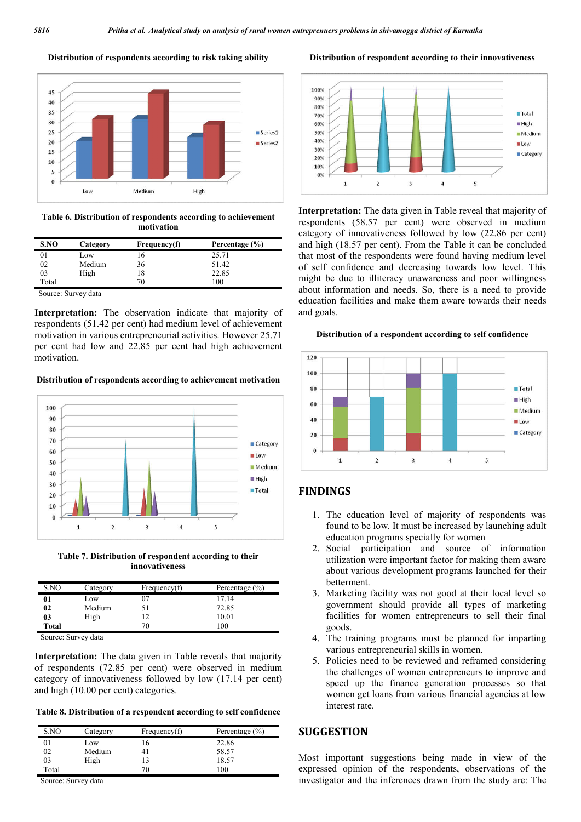### **Distribution of respondents according to risk taking ability**



**Table 6. Distribution of respondents according to achievement motivation**

| S.NO  | Category | Frequency(f) | Percentage (%) |
|-------|----------|--------------|----------------|
| 01    | Low      | 16           | 25.71          |
| 02    | Medium   | 36           | 51.42          |
| 03    | High     | 18           | 22.85          |
| Total |          | 70           | 100            |

Source: Survey data

**Interpretation:** The observation indicate that majority of respondents (51.42 per cent) had medium level of achievement motivation in various entrepreneurial activities. However 25.71 per cent had low and 22.85 per cent had high achievement motivation.

#### **Distribution of respondents according to achievement motivation**



**Table 7. Distribution of respondent according to their innovativeness**

| S.NO  | Category | Frequency(f) | Percentage $(\% )$ |
|-------|----------|--------------|--------------------|
| 01    | Low      |              | 17.14              |
| 02    | Medium   | 51           | 72.85              |
| 03    | High     |              | 10.01              |
| Total |          | 70           | 100                |

Source: Survey data

**Interpretation:** The data given in Table reveals that majority of respondents (72.85 per cent) were observed in medium category of innovativeness followed by low (17.14 per cent) and high (10.00 per cent) categories.

**Table 8. Distribution of a respondent according to self confidence**

| S.NO  | Category | Frequency(f) | Percentage $(\% )$ |
|-------|----------|--------------|--------------------|
|       | Low      | $\mathbf{p}$ | 22.86              |
| 02    | Medium   |              | 58.57              |
| 03    | High     |              | 18.57              |
| Total |          | 70.          | 100                |

Source: Survey data

**Distribution of respondent according to their innovativeness**



**Interpretation:** The data given in Table reveal that majority of respondents (58.57 per cent) were observed in medium category of innovativeness followed by low (22.86 per cent) and high (18.57 per cent). From the Table it can be concluded that most of the respondents were found having medium level of self confidence and decreasing towards low level. This might be due to illiteracy unawareness and poor willingness about information and needs. So, there is a need to provide education facilities and make them aware towards their needs and goals.

#### **Distribution of a respondent according to self confidence**



## **FINDINGS**

- 1. The education level of majority of respondents was found to be low. It must be increased by launching adult education programs specially for women
- 2. Social participation and source of information utilization were important factor for making them aware about various development programs launched for their betterment.
- 3. Marketing facility was not good at their local level so government should provide all types of marketing facilities for women entrepreneurs to sell their final goods.
- 4. The training programs must be planned for imparting various entrepreneurial skills in women.
- 5. Policies need to be reviewed and reframed considering the challenges of women entrepreneurs to improve and speed up the finance generation processes so that women get loans from various financial agencies at low interest rate.

# **SUGGESTION**

Most important suggestions being made in view of the expressed opinion of the respondents, observations of the investigator and the inferences drawn from the study are: The